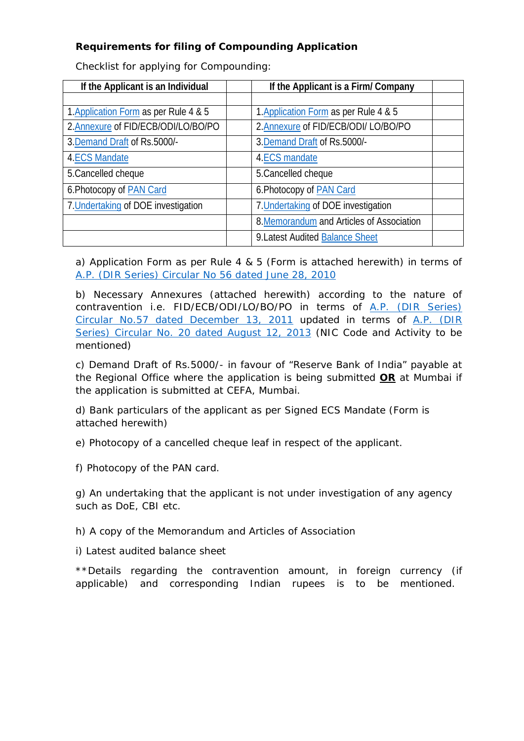# **Requirements for filing of Compounding Application**

Checklist for applying for Compounding:

| If the Applicant is an Individual     | If the Applicant is a Firm/Company        |  |
|---------------------------------------|-------------------------------------------|--|
|                                       |                                           |  |
| 1. Application Form as per Rule 4 & 5 | 1. Application Form as per Rule 4 & 5     |  |
| 2. Annexure of FID/ECB/ODI/LO/BO/PO   | 2.Annexure of FID/ECB/ODI/ LO/BO/PO       |  |
| 3. Demand Draft of Rs. 5000/-         | 3. Demand Draft of Rs. 5000/-             |  |
| <b>4.ECS Mandate</b>                  | 4.ECS mandate                             |  |
| 5. Cancelled cheque                   | 5. Cancelled cheque                       |  |
| 6. Photocopy of PAN Card              | 6. Photocopy of PAN Card                  |  |
| 7. Undertaking of DOE investigation   | 7. Undertaking of DOE investigation       |  |
|                                       | 8. Memorandum and Articles of Association |  |
|                                       | 9. Latest Audited Balance Sheet           |  |

<span id="page-0-0"></span>a) Application Form as per Rule 4 & 5 (Form is attached herewith) in terms of A.P. [\(DIR Series\) Circular No 56 dated June 28, 2010](http://rbi.org.in/Scripts/NotificationUser.aspx?Id=5746&Mode=0)

<span id="page-0-1"></span>b) Necessary Annexures (attached herewith) according to the nature of contravention i.e. FID/ECB/ODI/LO/BO/PO in terms of [A.P. \(DIR Series\)](http://rbi.org.in/Scripts/NotificationUser.aspx?Id=6370&Mode=0)  Circular No.57 [dated December 13, 2011](http://rbi.org.in/Scripts/NotificationUser.aspx?Id=6370&Mode=0) updated in terms of [A.P. \(DIR](http://rbi.org.in/Scripts/NotificationUser.aspx?Id=8301&Mode=0)  [Series\) Circular No. 20 dated August 12, 2013](http://rbi.org.in/Scripts/NotificationUser.aspx?Id=8301&Mode=0) (NIC Code and Activity to be mentioned)

<span id="page-0-2"></span>c) Demand Draft of Rs.5000/- in favour of "Reserve Bank of India" payable at the Regional Office where the application is being submitted **OR** at Mumbai if the application is submitted at CEFA, Mumbai.

<span id="page-0-3"></span>d) Bank particulars of the applicant as per Signed ECS Mandate (Form is attached herewith)

e) Photocopy of a cancelled cheque leaf in respect of the applicant.

<span id="page-0-4"></span>f) Photocopy of the PAN card.

<span id="page-0-5"></span>g) An undertaking that the applicant is not under investigation of any agency such as DoE, CBI etc.

<span id="page-0-6"></span>h) A copy of the Memorandum and Articles of Association

<span id="page-0-7"></span>i) Latest audited balance sheet

\*\*Details regarding the contravention amount, in foreign currency (if applicable) and corresponding Indian rupees is to be mentioned.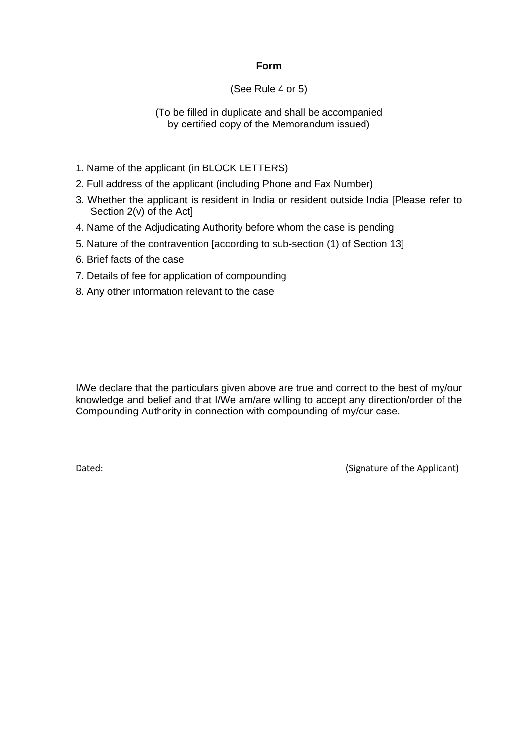#### **Form**

### (See Rule 4 or 5)

### (To be filled in duplicate and shall be accompanied by certified copy of the Memorandum issued)

- 1. Name of the applicant (in BLOCK LETTERS)
- 2. Full address of the applicant (including Phone and Fax Number)
- 3. Whether the applicant is resident in India or resident outside India [Please refer to Section 2(v) of the Act]
- 4. Name of the Adjudicating Authority before whom the case is pending
- 5. Nature of the contravention [according to sub-section (1) of Section 13]
- 6. Brief facts of the case
- 7. Details of fee for application of compounding
- 8. Any other information relevant to the case

I/We declare that the particulars given above are true and correct to the best of my/our knowledge and belief and that I/We am/are willing to accept any direction/order of the Compounding Authority in connection with compounding of my/our case.

Dated: Case of the Applicant of the Applicant of the Applicant of the Applicant of the Applicant of the Applicant of the Applicant of the Applicant of the Applicant of the Applicant of the Applicant of the Applicant of the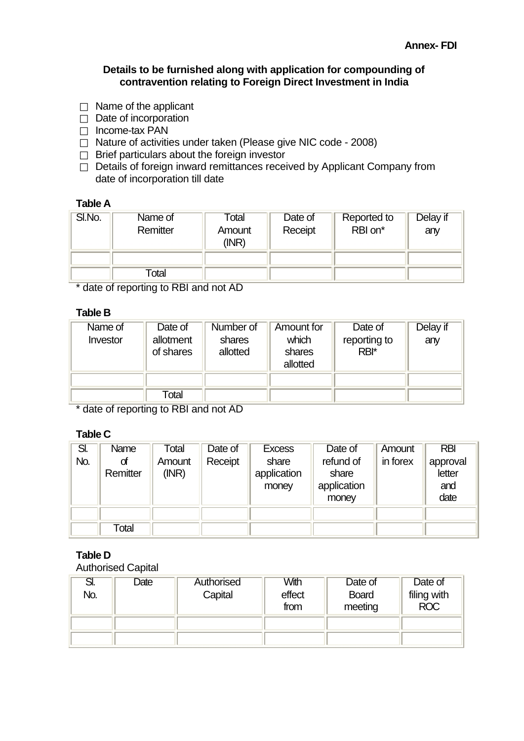### **Details to be furnished along with application for compounding of contravention relating to Foreign Direct Investment in India**

- $\Box$  Name of the applicant
- $\Box$  Date of incorporation
- $\Box$  Income-tax PAN
- $\Box$  Nature of activities under taken (Please give NIC code 2008)
- $\Box$  Brief particulars about the foreign investor
- $\overline{\Box}$  Details of foreign inward remittances received by Applicant Company from date of incorporation till date

### **Table A**

| SI.No. | Name of<br>Remitter | Total<br>Amount<br>(INR) | Date of<br>Receipt | Reported to<br>RBI on* | Delay if<br>any |
|--------|---------------------|--------------------------|--------------------|------------------------|-----------------|
|        |                     |                          |                    |                        |                 |
|        | Total               |                          |                    |                        |                 |

\* date of reporting to RBI and not AD

### **Table B**

| Name of<br>Investor | Date of<br>allotment<br>of shares | Number of<br>shares<br>allotted | Amount for<br>which<br>shares<br>allotted | Date of<br>reporting to<br>RBI* | Delay if<br>any |
|---------------------|-----------------------------------|---------------------------------|-------------------------------------------|---------------------------------|-----------------|
|                     | Total                             |                                 |                                           |                                 |                 |

\* date of reporting to RBI and not AD

### **Table C**

| SI. | <b>Name</b>    | Total           | Date of | <b>Excess</b>                 | Date of                                    | Amount   | <b>RBI</b>                        |
|-----|----------------|-----------------|---------|-------------------------------|--------------------------------------------|----------|-----------------------------------|
| No. | of<br>Remitter | Amount<br>(INR) | Receipt | share<br>application<br>money | refund of<br>share<br>application<br>money | in forex | approval<br>letter<br>and<br>date |
|     |                |                 |         |                               |                                            |          |                                   |
|     | Total          |                 |         |                               |                                            |          |                                   |

# **Table D**

Authorised Capital

| SI.<br>No. | Date | Authorised<br>Capital | With<br>effect<br>from | Date of<br><b>Board</b><br>meeting | Date of<br>filing with<br><b>ROC</b> |
|------------|------|-----------------------|------------------------|------------------------------------|--------------------------------------|
|            |      |                       |                        |                                    |                                      |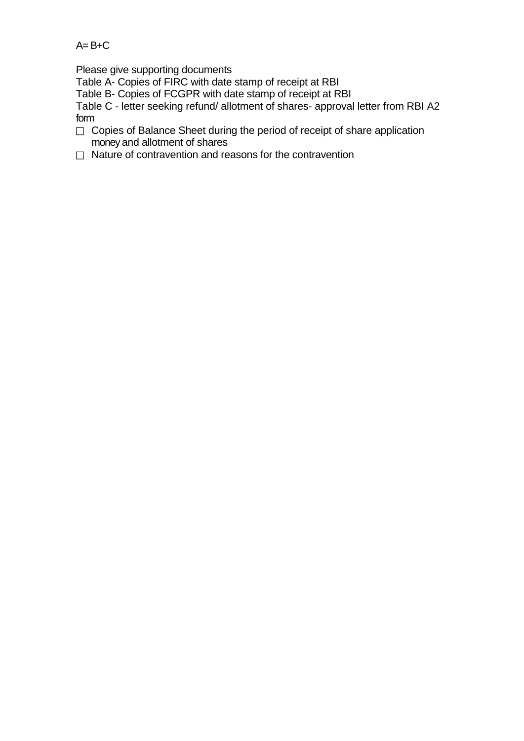# $A = B + C$

Please give supporting documents

Table A- Copies of FIRC with date stamp of receipt at RBI

Table B- Copies of FCGPR with date stamp of receipt at RBI

Table C - letter seeking refund/ allotment of shares- approval letter from RBI A2 form

- Copies of Balance Sheet during the period of receipt of share application money and allotment of shares
- $\Box$  Nature of contravention and reasons for the contravention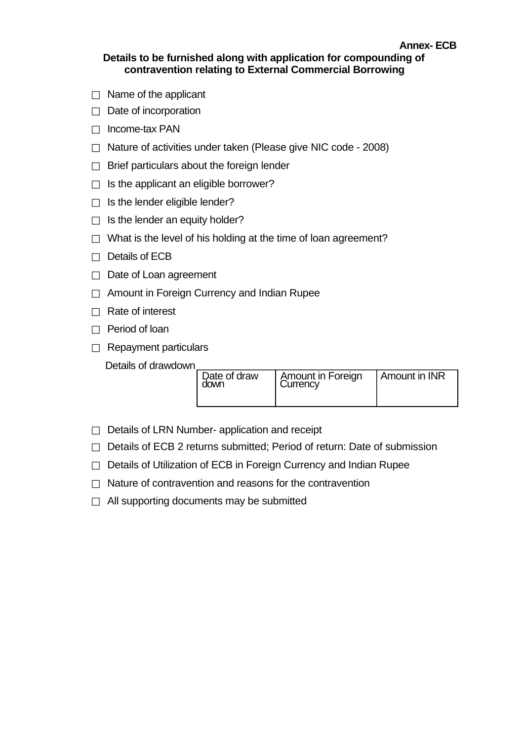# **Details to be furnished along with application for compounding of contravention relating to External Commercial Borrowing**

**Annex- ECB** 

- $\Box$  Name of the applicant
- $\Box$  Date of incorporation
- $\Box$  Income-tax PAN
- $\Box$  Nature of activities under taken (Please give NIC code 2008)
- $\Box$  Brief particulars about the foreign lender
- $\Box$  Is the applicant an eligible borrower?
- $\Box$  Is the lender eligible lender?
- $\Box$  Is the lender an equity holder?
- $\Box$  What is the level of his holding at the time of loan agreement?
- $\Box$  Details of ECB
- $\Box$  Date of Loan agreement
- $\Box$  Amount in Foreign Currency and Indian Rupee
- $\Box$  Rate of interest
- $\Box$  Period of loan
- $\Box$  Repayment particulars

Details of drawdown

| Date of draw<br>down | <b>Amount in Foreign</b><br>Currency | Amount in INR |
|----------------------|--------------------------------------|---------------|
|                      |                                      |               |

- $\Box$  Details of LRN Number- application and receipt
- $\Box$  Details of ECB 2 returns submitted; Period of return: Date of submission
- $\Box$  Details of Utilization of ECB in Foreign Currency and Indian Rupee
- $\Box$  Nature of contravention and reasons for the contravention
- $\Box$  All supporting documents may be submitted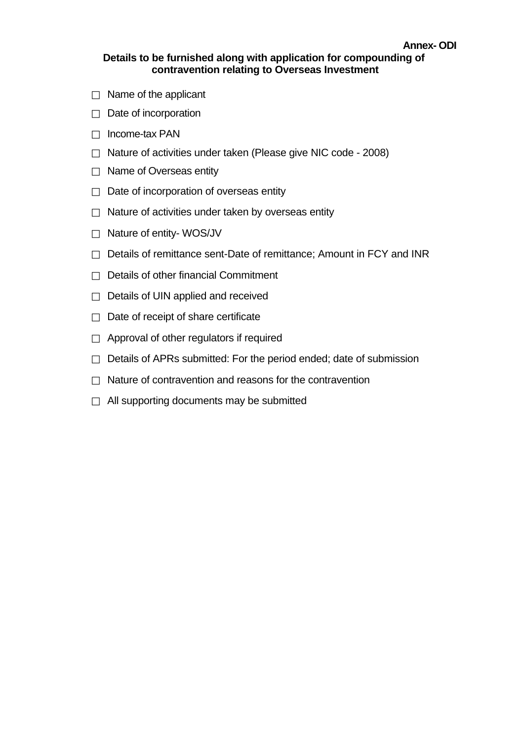- $\Box$  Name of the applicant
- $\Box$  Date of incorporation
- $\Box$  Income-tax PAN
- $\Box$  Nature of activities under taken (Please give NIC code 2008)
- $\Box$  Name of Overseas entity
- $\Box$  Date of incorporation of overseas entity
- $\Box$  Nature of activities under taken by overseas entity
- □ Nature of entity- WOS/JV
- $\Box$  Details of remittance sent-Date of remittance; Amount in FCY and INR
- $\Box$  Details of other financial Commitment
- $\Box$  Details of UIN applied and received
- $\Box$  Date of receipt of share certificate
- $\Box$  Approval of other regulators if required
- $\Box$  Details of APRs submitted: For the period ended; date of submission
- $\Box$  Nature of contravention and reasons for the contravention
- $\Box$  All supporting documents may be submitted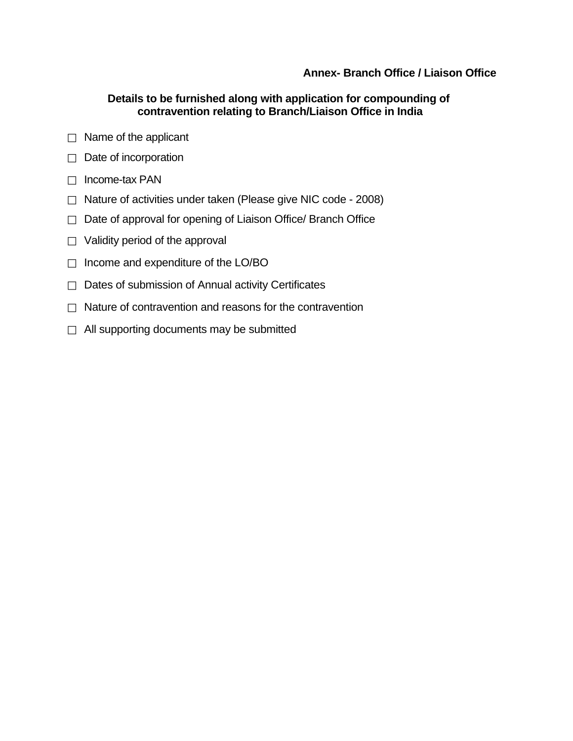### **Annex- Branch Office / Liaison Office**

### **Details to be furnished along with application for compounding of contravention relating to Branch/Liaison Office in India**

- $\Box$  Name of the applicant
- $\Box$  Date of incorporation
- $\Box$  Income-tax PAN
- $\Box$  Nature of activities under taken (Please give NIC code 2008)
- Date of approval for opening of Liaison Office/ Branch Office
- $\Box$  Validity period of the approval
- $\Box$  Income and expenditure of the LO/BO
- $\Box$  Dates of submission of Annual activity Certificates
- $\Box$  Nature of contravention and reasons for the contravention
- $\Box$  All supporting documents may be submitted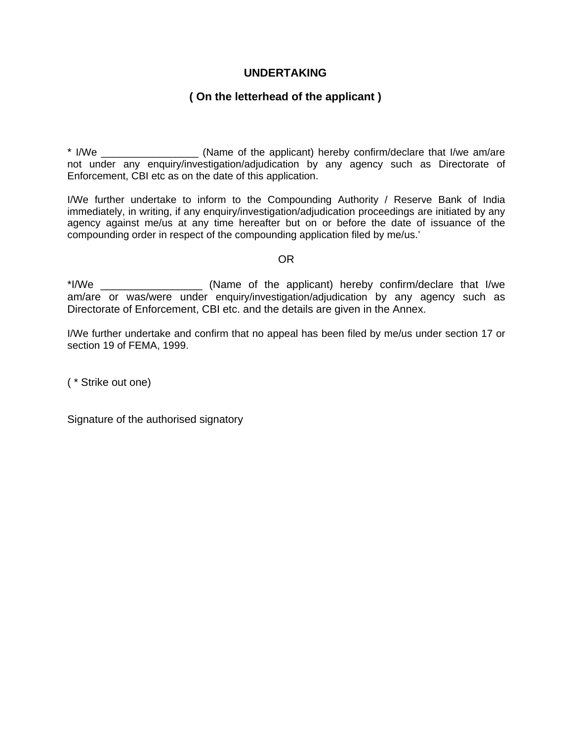### **UNDERTAKING**

### **( On the letterhead of the applicant )**

\* I/We \_\_\_\_\_\_\_\_\_\_\_\_\_\_\_\_\_ (Name of the applicant) hereby confirm/declare that I/we am/are not under any enquiry/investigation/adjudication by any agency such as Directorate of Enforcement, CBI etc as on the date of this application.

I/We further undertake to inform to the Compounding Authority / Reserve Bank of India immediately, in writing, if any enquiry/investigation/adjudication proceedings are initiated by any agency against me/us at any time hereafter but on or before the date of issuance of the compounding order in respect of the compounding application filed by me/us.'

#### OR

\*I/We \_\_\_\_\_\_\_\_\_\_\_\_\_\_\_\_\_ (Name of the applicant) hereby confirm/declare that I/we am/are or was/were under enquiry/investigation/adjudication by any agency such as Directorate of Enforcement, CBI etc. and the details are given in the Annex.

I/We further undertake and confirm that no appeal has been filed by me/us under section 17 or section 19 of FEMA, 1999.

( \* Strike out one)

Signature of the authorised signatory